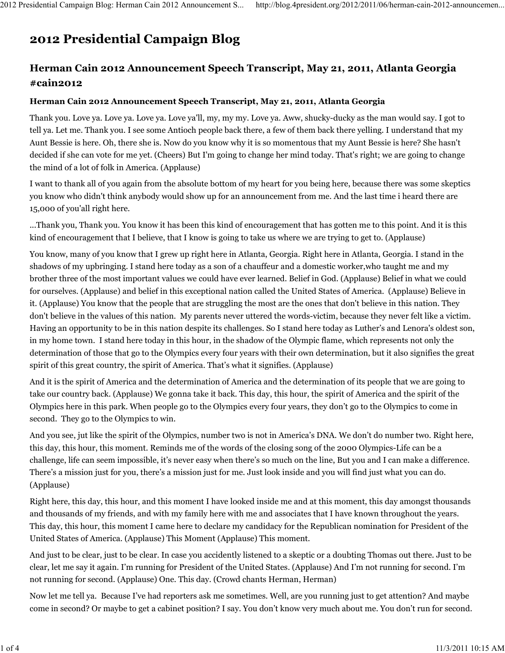## 2012 Presidential Campaign Blog

## Herman Cain 2012 Announcement Speech Transcript, May 21, 2011, Atlanta Georgia #cain2012

## Herman Cain 2012 Announcement Speech Transcript, May 21, 2011, Atlanta Georgia

Thank you. Love ya. Love ya. Love ya. Love ya'll, my, my my. Love ya. Aww, shucky-ducky as the man would say. I got to tell ya. Let me. Thank you. I see some Antioch people back there, a few of them back there yelling. I understand that my Aunt Bessie is here. Oh, there she is. Now do you know why it is so momentous that my Aunt Bessie is here? She hasn't decided if she can vote for me yet. (Cheers) But I'm going to change her mind today. That's right; we are going to change the mind of a lot of folk in America. (Applause)

I want to thank all of you again from the absolute bottom of my heart for you being here, because there was some skeptics you know who didn't think anybody would show up for an announcement from me. And the last time i heard there are 15,000 of you'all right here.

...Thank you, Thank you. You know it has been this kind of encouragement that has gotten me to this point. And it is this kind of encouragement that I believe, that I know is going to take us where we are trying to get to. (Applause)

You know, many of you know that I grew up right here in Atlanta, Georgia. Right here in Atlanta, Georgia. I stand in the shadows of my upbringing. I stand here today as a son of a chauffeur and a domestic worker,who taught me and my brother three of the most important values we could have ever learned. Belief in God. (Applause) Belief in what we could for ourselves. (Applause) and belief in this exceptional nation called the United States of America. (Applause) Believe in it. (Applause) You know that the people that are struggling the most are the ones that don't believe in this nation. They don't believe in the values of this nation. My parents never uttered the words-victim, because they never felt like a victim. Having an opportunity to be in this nation despite its challenges. So I stand here today as Luther's and Lenora's oldest son, in my home town. I stand here today in this hour, in the shadow of the Olympic flame, which represents not only the determination of those that go to the Olympics every four years with their own determination, but it also signifies the great spirit of this great country, the spirit of America. That's what it signifies. (Applause)

And it is the spirit of America and the determination of America and the determination of its people that we are going to take our country back. (Applause) We gonna take it back. This day, this hour, the spirit of America and the spirit of the Olympics here in this park. When people go to the Olympics every four years, they don't go to the Olympics to come in second. They go to the Olympics to win.

And you see, jut like the spirit of the Olympics, number two is not in America's DNA. We don't do number two. Right here, this day, this hour, this moment. Reminds me of the words of the closing song of the 2000 Olympics-Life can be a challenge, life can seem impossible, it's never easy when there's so much on the line, But you and I can make a difference. There's a mission just for you, there's a mission just for me. Just look inside and you will find just what you can do. (Applause)

Right here, this day, this hour, and this moment I have looked inside me and at this moment, this day amongst thousands and thousands of my friends, and with my family here with me and associates that I have known throughout the years. This day, this hour, this moment I came here to declare my candidacy for the Republican nomination for President of the United States of America. (Applause) This Moment (Applause) This moment.

And just to be clear, just to be clear. In case you accidently listened to a skeptic or a doubting Thomas out there. Just to be clear, let me say it again. I'm running for President of the United States. (Applause) And I'm not running for second. I'm not running for second. (Applause) One. This day. (Crowd chants Herman, Herman)

Now let me tell ya. Because I've had reporters ask me sometimes. Well, are you running just to get attention? And maybe come in second? Or maybe to get a cabinet position? I say. You don't know very much about me. You don't run for second.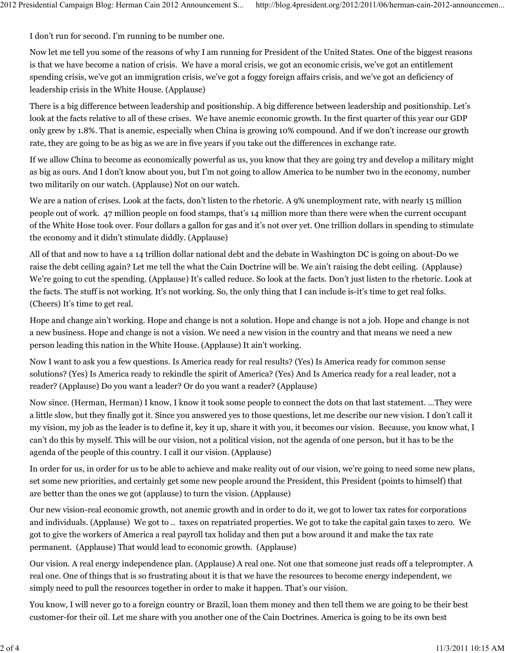I don't run for second. I'm running to be number one.

Now let me tell you some of the reasons of why I am running for President of the United States. One of the biggest reasons is that we have become a nation of crisis. We have a moral crisis, we got an economic crisis, we've got an entitlement spending crisis, we've got an immigration crisis, we've got a foggy foreign affairs crisis, and we've got an deficiency of leadership crisis in the White House. (Applause)

There is a big difference between leadership and positionship. A big difference between leadership and positionship. Let's look at the facts relative to all of these crises. We have anemic economic growth. In the first quarter of this year our GDP only grew by 1.8%. That is anemic, especially when China is growing 10% compound. And if we don't increase our growth rate, they are going to be as big as we are in five years if you take out the differences in exchange rate.

If we allow China to become as economically powerful as us, you know that they are going try and develop a military might as big as ours. And I don't know about you, but I'm not going to allow America to be number two in the economy, number two militarily on our watch. (Applause) Not on our watch.

We are a nation of crises. Look at the facts, don't listen to the rhetoric. A 9% unemployment rate, with nearly 15 million people out of work. 47 million people on food stamps, that's 14 million more than there were when the current occupant of the White Hose took over. Four dollars a gallon for gas and it's not over yet. One trillion dollars in spending to stimulate the economy and it didn't stimulate diddly. (Applause)

All of that and now to have a 14 trillion dollar national debt and the debate in Washington DC is going on about-Do we raise the debt ceiling again? Let me tell the what the Cain Doctrine will be. We ain't raising the debt ceiling. (Applause) We're going to cut the spending. (Applause) It's called reduce. So look at the facts. Don't just listen to the rhetoric. Look at the facts. The stuff is not working. It's not working. So, the only thing that I can include is-it's time to get real folks. (Cheers) It's time to get real.

Hope and change ain't working. Hope and change is not a solution. Hope and change is not a job. Hope and change is not a new business. Hope and change is not a vision. We need a new vision in the country and that means we need a new person leading this nation in the White House. (Applause) It ain't working.

Now I want to ask you a few questions. Is America ready for real results? (Yes) Is America ready for common sense solutions? (Yes) Is America ready to rekindle the spirit of America? (Yes) And Is America ready for a real leader, not a reader? (Applause) Do you want a leader? Or do you want a reader? (Applause)

Now since. (Herman, Herman) I know, I know it took some people to connect the dots on that last statement. …They were a little slow, but they finally got it. Since you answered yes to those questions, let me describe our new vision. I don't call it my vision, my job as the leader is to define it, key it up, share it with you, it becomes our vision. Because, you know what, I can't do this by myself. This will be our vision, not a political vision, not the agenda of one person, but it has to be the agenda of the people of this country. I call it our vision. (Applause)

In order for us, in order for us to be able to achieve and make reality out of our vision, we're going to need some new plans, set some new priorities, and certainly get some new people around the President, this President (points to himself) that are better than the ones we got (applause) to turn the vision. (Applause)

Our new vision-real economic growth, not anemic growth and in order to do it, we got to lower tax rates for corporations and individuals. (Applause) We got to .. taxes on repatriated properties. We got to take the capital gain taxes to zero. We got to give the workers of America a real payroll tax holiday and then put a bow around it and make the tax rate permanent. (Applause) That would lead to economic growth. (Applause)

Our vision. A real energy independence plan. (Applause) A real one. Not one that someone just reads off a teleprompter. A real one. One of things that is so frustrating about it is that we have the resources to become energy independent, we simply need to pull the resources together in order to make it happen. That's our vision.

You know, I will never go to a foreign country or Brazil, loan them money and then tell them we are going to be their best customer-for their oil. Let me share with you another one of the Cain Doctrines. America is going to be its own best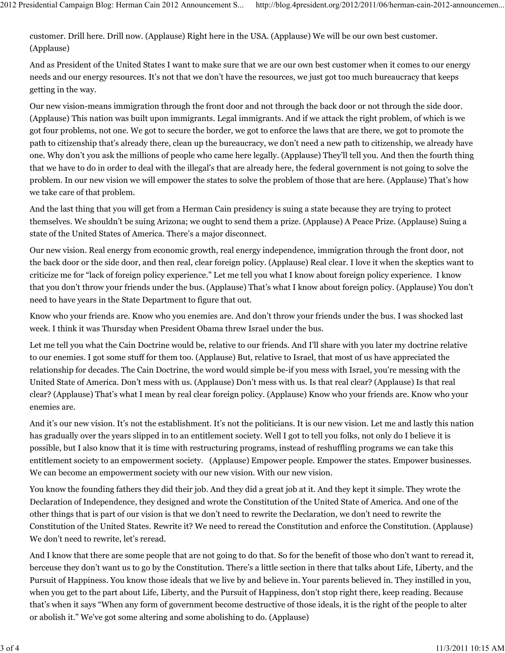customer. Drill here. Drill now. (Applause) Right here in the USA. (Applause) We will be our own best customer. (Applause)

And as President of the United States I want to make sure that we are our own best customer when it comes to our energy needs and our energy resources. It's not that we don't have the resources, we just got too much bureaucracy that keeps getting in the way.

Our new vision-means immigration through the front door and not through the back door or not through the side door. (Applause) This nation was built upon immigrants. Legal immigrants. And if we attack the right problem, of which is we got four problems, not one. We got to secure the border, we got to enforce the laws that are there, we got to promote the path to citizenship that's already there, clean up the bureaucracy, we don't need a new path to citizenship, we already have one. Why don't you ask the millions of people who came here legally. (Applause) They'll tell you. And then the fourth thing that we have to do in order to deal with the illegal's that are already here, the federal government is not going to solve the problem. In our new vision we will empower the states to solve the problem of those that are here. (Applause) That's how we take care of that problem.

And the last thing that you will get from a Herman Cain presidency is suing a state because they are trying to protect themselves. We shouldn't be suing Arizona; we ought to send them a prize. (Applause) A Peace Prize. (Applause) Suing a state of the United States of America. There's a major disconnect.

Our new vision. Real energy from economic growth, real energy independence, immigration through the front door, not the back door or the side door, and then real, clear foreign policy. (Applause) Real clear. I love it when the skeptics want to criticize me for "lack of foreign policy experience." Let me tell you what I know about foreign policy experience. I know that you don't throw your friends under the bus. (Applause) That's what I know about foreign policy. (Applause) You don't need to have years in the State Department to figure that out.

Know who your friends are. Know who you enemies are. And don't throw your friends under the bus. I was shocked last week. I think it was Thursday when President Obama threw Israel under the bus.

Let me tell you what the Cain Doctrine would be, relative to our friends. And I'll share with you later my doctrine relative to our enemies. I got some stuff for them too. (Applause) But, relative to Israel, that most of us have appreciated the relationship for decades. The Cain Doctrine, the word would simple be-if you mess with Israel, you're messing with the United State of America. Don't mess with us. (Applause) Don't mess with us. Is that real clear? (Applause) Is that real clear? (Applause) That's what I mean by real clear foreign policy. (Applause) Know who your friends are. Know who your enemies are.

And it's our new vision. It's not the establishment. It's not the politicians. It is our new vision. Let me and lastly this nation has gradually over the years slipped in to an entitlement society. Well I got to tell you folks, not only do I believe it is possible, but I also know that it is time with restructuring programs, instead of reshuffling programs we can take this entitlement society to an empowerment society. (Applause) Empower people. Empower the states. Empower businesses. We can become an empowerment society with our new vision. With our new vision.

You know the founding fathers they did their job. And they did a great job at it. And they kept it simple. They wrote the Declaration of Independence, they designed and wrote the Constitution of the United State of America. And one of the other things that is part of our vision is that we don't need to rewrite the Declaration, we don't need to rewrite the Constitution of the United States. Rewrite it? We need to reread the Constitution and enforce the Constitution. (Applause) We don't need to rewrite, let's reread.

And I know that there are some people that are not going to do that. So for the benefit of those who don't want to reread it, berceuse they don't want us to go by the Constitution. There's a little section in there that talks about Life, Liberty, and the Pursuit of Happiness. You know those ideals that we live by and believe in. Your parents believed in. They instilled in you, when you get to the part about Life, Liberty, and the Pursuit of Happiness, don't stop right there, keep reading. Because that's when it says "When any form of government become destructive of those ideals, it is the right of the people to alter or abolish it." We've got some altering and some abolishing to do. (Applause)